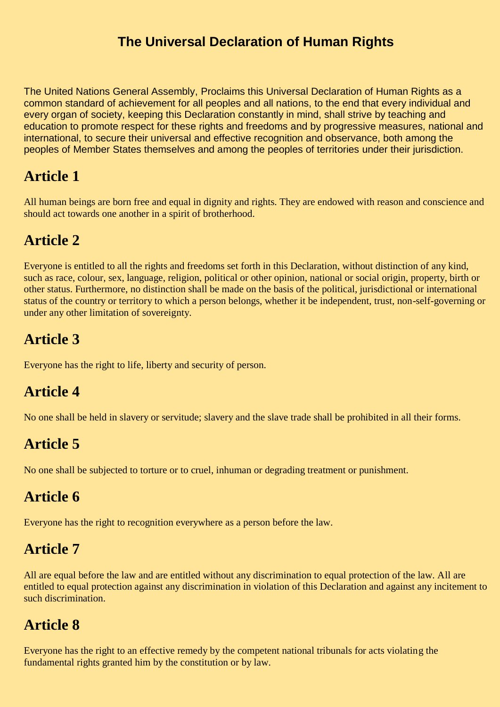#### **The Universal Declaration of Human Rights**

The United Nations General Assembly, Proclaims this Universal Declaration of Human Rights as a common standard of achievement for all peoples and all nations, to the end that every individual and every organ of society, keeping this Declaration constantly in mind, shall strive by teaching and education to promote respect for these rights and freedoms and by progressive measures, national and international, to secure their universal and effective recognition and observance, both among the peoples of Member States themselves and among the peoples of territories under their jurisdiction.

#### **Article 1**

All human beings are born free and equal in dignity and rights. They are endowed with reason and conscience and should act towards one another in a spirit of brotherhood.

### **Article 2**

Everyone is entitled to all the rights and freedoms set forth in this Declaration, without distinction of any kind, such as race, colour, sex, language, religion, political or other opinion, national or social origin, property, birth or other status. Furthermore, no distinction shall be made on the basis of the political, jurisdictional or international status of the country or territory to which a person belongs, whether it be independent, trust, non-self-governing or under any other limitation of sovereignty.

#### **Article 3**

Everyone has the right to life, liberty and security of person.

### **Article 4**

No one shall be held in slavery or servitude; slavery and the slave trade shall be prohibited in all their forms.

### **Article 5**

No one shall be subjected to torture or to cruel, inhuman or degrading treatment or punishment.

#### **Article 6**

Everyone has the right to recognition everywhere as a person before the law.

#### **Article 7**

All are equal before the law and are entitled without any discrimination to equal protection of the law. All are entitled to equal protection against any discrimination in violation of this Declaration and against any incitement to such discrimination.

### **Article 8**

Everyone has the right to an effective remedy by the competent national tribunals for acts violating the fundamental rights granted him by the constitution or by law.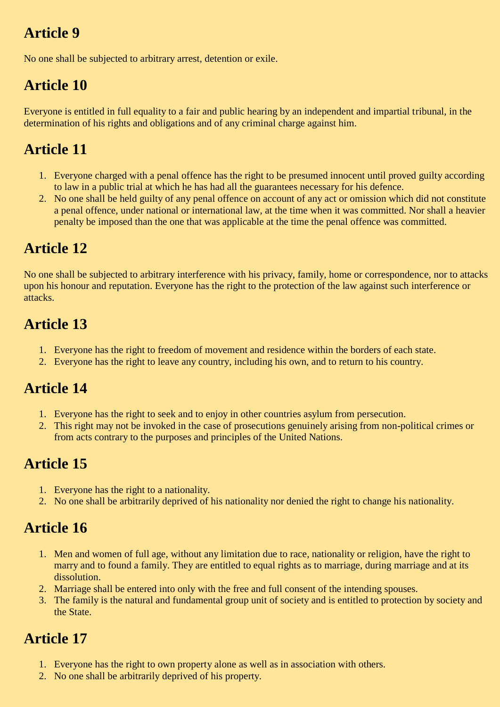## **Article 9**

No one shall be subjected to arbitrary arrest, detention or exile.

# **Article 10**

Everyone is entitled in full equality to a fair and public hearing by an independent and impartial tribunal, in the determination of his rights and obligations and of any criminal charge against him.

### **Article 11**

- 1. Everyone charged with a penal offence has the right to be presumed innocent until proved guilty according to law in a public trial at which he has had all the guarantees necessary for his defence.
- 2. No one shall be held guilty of any penal offence on account of any act or omission which did not constitute a penal offence, under national or international law, at the time when it was committed. Nor shall a heavier penalty be imposed than the one that was applicable at the time the penal offence was committed.

## **Article 12**

No one shall be subjected to arbitrary interference with his privacy, family, home or correspondence, nor to attacks upon his honour and reputation. Everyone has the right to the protection of the law against such interference or attacks.

### **Article 13**

- 1. Everyone has the right to freedom of movement and residence within the borders of each state.
- 2. Everyone has the right to leave any country, including his own, and to return to his country.

## **Article 14**

- 1. Everyone has the right to seek and to enjoy in other countries asylum from persecution.
- 2. This right may not be invoked in the case of prosecutions genuinely arising from non-political crimes or from acts contrary to the purposes and principles of the United Nations.

### **Article 15**

- 1. Everyone has the right to a nationality.
- 2. No one shall be arbitrarily deprived of his nationality nor denied the right to change his nationality.

## **Article 16**

- 1. Men and women of full age, without any limitation due to race, nationality or religion, have the right to marry and to found a family. They are entitled to equal rights as to marriage, during marriage and at its dissolution.
- 2. Marriage shall be entered into only with the free and full consent of the intending spouses.
- 3. The family is the natural and fundamental group unit of society and is entitled to protection by society and the State.

### **Article 17**

- 1. Everyone has the right to own property alone as well as in association with others.
- 2. No one shall be arbitrarily deprived of his property.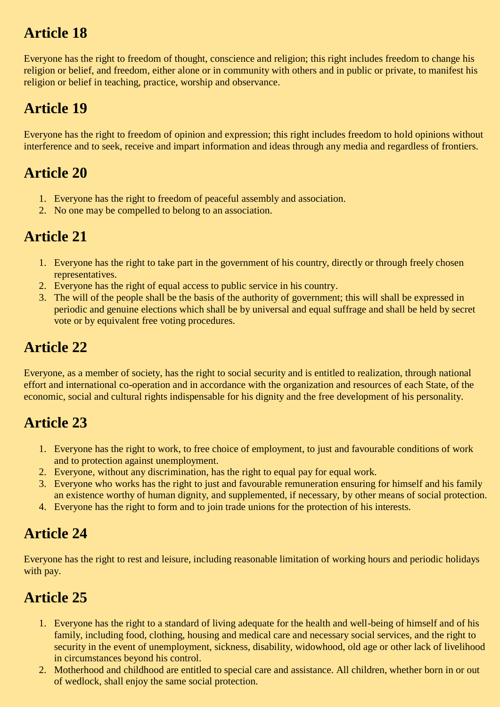## **Article 18**

Everyone has the right to freedom of thought, conscience and religion; this right includes freedom to change his religion or belief, and freedom, either alone or in community with others and in public or private, to manifest his religion or belief in teaching, practice, worship and observance.

## **Article 19**

Everyone has the right to freedom of opinion and expression; this right includes freedom to hold opinions without interference and to seek, receive and impart information and ideas through any media and regardless of frontiers.

### **Article 20**

- 1. Everyone has the right to freedom of peaceful assembly and association.
- 2. No one may be compelled to belong to an association.

### **Article 21**

- 1. Everyone has the right to take part in the government of his country, directly or through freely chosen representatives.
- 2. Everyone has the right of equal access to public service in his country.
- 3. The will of the people shall be the basis of the authority of government; this will shall be expressed in periodic and genuine elections which shall be by universal and equal suffrage and shall be held by secret vote or by equivalent free voting procedures.

### **Article 22**

Everyone, as a member of society, has the right to social security and is entitled to realization, through national effort and international co-operation and in accordance with the organization and resources of each State, of the economic, social and cultural rights indispensable for his dignity and the free development of his personality.

## **Article 23**

- 1. Everyone has the right to work, to free choice of employment, to just and favourable conditions of work and to protection against unemployment.
- 2. Everyone, without any discrimination, has the right to equal pay for equal work.
- 3. Everyone who works has the right to just and favourable remuneration ensuring for himself and his family an existence worthy of human dignity, and supplemented, if necessary, by other means of social protection.
- 4. Everyone has the right to form and to join trade unions for the protection of his interests.

## **Article 24**

Everyone has the right to rest and leisure, including reasonable limitation of working hours and periodic holidays with pay.

## **Article 25**

- 1. Everyone has the right to a standard of living adequate for the health and well-being of himself and of his family, including food, clothing, housing and medical care and necessary social services, and the right to security in the event of unemployment, sickness, disability, widowhood, old age or other lack of livelihood in circumstances beyond his control.
- 2. Motherhood and childhood are entitled to special care and assistance. All children, whether born in or out of wedlock, shall enjoy the same social protection.